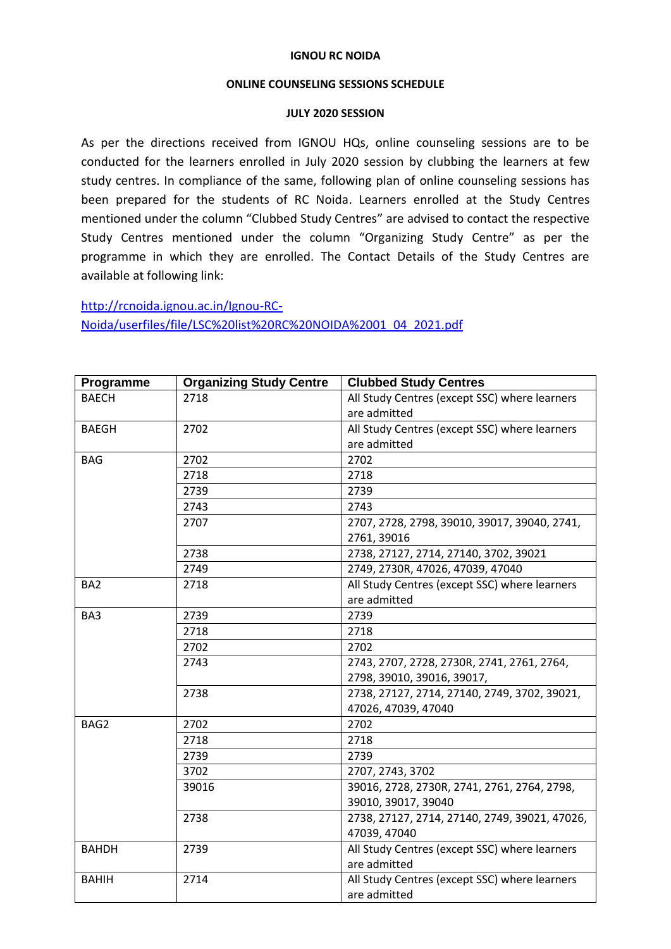## **IGNOU RC NOIDA**

## **ONLINE COUNSELING SESSIONS SCHEDULE**

## **JULY 2020 SESSION**

As per the directions received from IGNOU HQs, online counseling sessions are to be conducted for the learners enrolled in July 2020 session by clubbing the learners at few study centres. In compliance of the same, following plan of online counseling sessions has been prepared for the students of RC Noida. Learners enrolled at the Study Centres mentioned under the column "Clubbed Study Centres" are advised to contact the respective Study Centres mentioned under the column "Organizing Study Centre" as per the programme in which they are enrolled. The Contact Details of the Study Centres are available at following link:

[http://rcnoida.ignou.ac.in/Ignou-RC-](http://rcnoida.ignou.ac.in/Ignou-RC-Noida/userfiles/file/LSC%20list%20RC%20NOIDA%2001_04_2021.pdf)[Noida/userfiles/file/LSC%20list%20RC%20NOIDA%2001\\_04\\_2021.pdf](http://rcnoida.ignou.ac.in/Ignou-RC-Noida/userfiles/file/LSC%20list%20RC%20NOIDA%2001_04_2021.pdf)

| Programme       | <b>Organizing Study Centre</b> | <b>Clubbed Study Centres</b>                  |
|-----------------|--------------------------------|-----------------------------------------------|
| <b>BAECH</b>    | 2718                           | All Study Centres (except SSC) where learners |
|                 |                                | are admitted                                  |
| <b>BAEGH</b>    | 2702                           | All Study Centres (except SSC) where learners |
|                 |                                | are admitted                                  |
| <b>BAG</b>      | 2702                           | 2702                                          |
|                 | 2718                           | 2718                                          |
|                 | 2739                           | 2739                                          |
|                 | 2743                           | 2743                                          |
|                 | 2707                           | 2707, 2728, 2798, 39010, 39017, 39040, 2741,  |
|                 |                                | 2761, 39016                                   |
|                 | 2738                           | 2738, 27127, 2714, 27140, 3702, 39021         |
|                 | 2749                           | 2749, 2730R, 47026, 47039, 47040              |
| BA <sub>2</sub> | 2718                           | All Study Centres (except SSC) where learners |
|                 |                                | are admitted                                  |
| BA3             | 2739                           | 2739                                          |
|                 | 2718                           | 2718                                          |
|                 | 2702                           | 2702                                          |
|                 | 2743                           | 2743, 2707, 2728, 2730R, 2741, 2761, 2764,    |
|                 |                                | 2798, 39010, 39016, 39017,                    |
|                 | 2738                           | 2738, 27127, 2714, 27140, 2749, 3702, 39021,  |
|                 |                                | 47026, 47039, 47040                           |
| BAG2            | 2702                           | 2702                                          |
|                 | 2718                           | 2718                                          |
|                 | 2739                           | 2739                                          |
|                 | 3702                           | 2707, 2743, 3702                              |
|                 | 39016                          | 39016, 2728, 2730R, 2741, 2761, 2764, 2798,   |
|                 |                                | 39010, 39017, 39040                           |
|                 | 2738                           | 2738, 27127, 2714, 27140, 2749, 39021, 47026, |
|                 |                                | 47039, 47040                                  |
| <b>BAHDH</b>    | 2739                           | All Study Centres (except SSC) where learners |
|                 |                                | are admitted                                  |
| <b>BAHIH</b>    | 2714                           | All Study Centres (except SSC) where learners |
|                 |                                | are admitted                                  |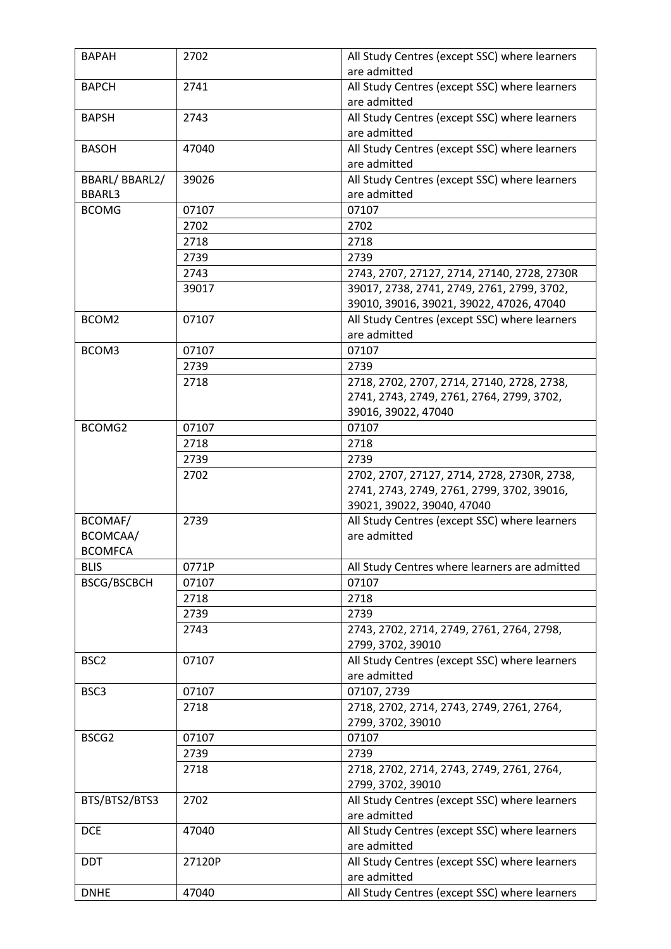| <b>BAPAH</b>       | 2702   | All Study Centres (except SSC) where learners<br>are admitted  |
|--------------------|--------|----------------------------------------------------------------|
| <b>BAPCH</b>       | 2741   | All Study Centres (except SSC) where learners                  |
|                    |        | are admitted                                                   |
| <b>BAPSH</b>       | 2743   | All Study Centres (except SSC) where learners                  |
|                    |        | are admitted                                                   |
| <b>BASOH</b>       | 47040  | All Study Centres (except SSC) where learners                  |
|                    |        | are admitted                                                   |
| BBARL/BBARL2/      | 39026  | All Study Centres (except SSC) where learners                  |
| <b>BBARL3</b>      |        | are admitted                                                   |
| <b>BCOMG</b>       | 07107  | 07107                                                          |
|                    | 2702   | 2702                                                           |
|                    |        |                                                                |
|                    | 2718   | 2718                                                           |
|                    | 2739   | 2739                                                           |
|                    | 2743   | 2743, 2707, 27127, 2714, 27140, 2728, 2730R                    |
|                    | 39017  | 39017, 2738, 2741, 2749, 2761, 2799, 3702,                     |
|                    |        | 39010, 39016, 39021, 39022, 47026, 47040                       |
| BCOM2              | 07107  | All Study Centres (except SSC) where learners                  |
|                    |        | are admitted                                                   |
| BCOM3              | 07107  | 07107                                                          |
|                    | 2739   | 2739                                                           |
|                    | 2718   | 2718, 2702, 2707, 2714, 27140, 2728, 2738,                     |
|                    |        | 2741, 2743, 2749, 2761, 2764, 2799, 3702,                      |
|                    |        | 39016, 39022, 47040                                            |
| BCOMG2             | 07107  | 07107                                                          |
|                    | 2718   | 2718                                                           |
|                    | 2739   | 2739                                                           |
|                    | 2702   | 2702, 2707, 27127, 2714, 2728, 2730R, 2738,                    |
|                    |        | 2741, 2743, 2749, 2761, 2799, 3702, 39016,                     |
|                    |        | 39021, 39022, 39040, 47040                                     |
| BCOMAF/            | 2739   | All Study Centres (except SSC) where learners                  |
| BCOMCAA/           |        | are admitted                                                   |
| <b>BCOMFCA</b>     |        |                                                                |
| <b>BLIS</b>        | 0771P  | All Study Centres where learners are admitted                  |
| <b>BSCG/BSCBCH</b> | 07107  | 07107                                                          |
|                    | 2718   | 2718                                                           |
|                    | 2739   | 2739                                                           |
|                    | 2743   | 2743, 2702, 2714, 2749, 2761, 2764, 2798,                      |
|                    |        | 2799, 3702, 39010                                              |
| BSC <sub>2</sub>   | 07107  | All Study Centres (except SSC) where learners                  |
|                    |        | are admitted                                                   |
|                    | 07107  | 07107, 2739                                                    |
| BSC3               | 2718   | 2718, 2702, 2714, 2743, 2749, 2761, 2764,                      |
|                    |        | 2799, 3702, 39010                                              |
| BSCG2              | 07107  | 07107                                                          |
|                    |        | 2739                                                           |
|                    | 2739   |                                                                |
|                    | 2718   | 2718, 2702, 2714, 2743, 2749, 2761, 2764,<br>2799, 3702, 39010 |
| BTS/BTS2/BTS3      | 2702   |                                                                |
|                    |        | All Study Centres (except SSC) where learners<br>are admitted  |
|                    |        |                                                                |
| <b>DCE</b>         | 47040  | All Study Centres (except SSC) where learners                  |
|                    |        | are admitted                                                   |
| <b>DDT</b>         | 27120P | All Study Centres (except SSC) where learners                  |
|                    |        | are admitted                                                   |
| <b>DNHE</b>        | 47040  | All Study Centres (except SSC) where learners                  |